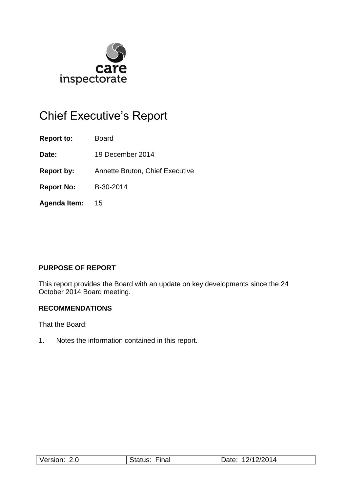

# Chief Executive's Report

**Report to:** Board

**Date:** 19 December 2014

**Report by:** Annette Bruton, Chief Executive

**Report No:** B-30-2014

**Agenda Item:** 15

### **PURPOSE OF REPORT**

This report provides the Board with an update on key developments since the 24 October 2014 Board meeting.

### **RECOMMENDATIONS**

That the Board:

1. Notes the information contained in this report.

| $\cdots$<br>$\sqrt{c}$<br>51<br>Z.U<br>$\sim$ | --<br>-ınal | ו מחים<br><b>114</b><br>14<br>. .<br>uw. |
|-----------------------------------------------|-------------|------------------------------------------|
|-----------------------------------------------|-------------|------------------------------------------|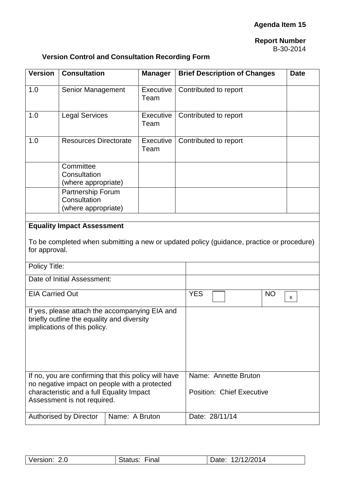### **Report Number** B-30-2014

## **Version Control and Consultation Recording Form**

| <b>Version</b>                                                                             | <b>Consultation</b>                                                                          |                           | <b>Manager</b>    | <b>Brief Description of Changes</b><br><b>Date</b> |  |
|--------------------------------------------------------------------------------------------|----------------------------------------------------------------------------------------------|---------------------------|-------------------|----------------------------------------------------|--|
| 1.0                                                                                        | Senior Management                                                                            |                           | Executive<br>Team | Contributed to report                              |  |
| 1.0                                                                                        | <b>Legal Services</b>                                                                        |                           | Executive<br>Team | Contributed to report                              |  |
| 1.0                                                                                        | <b>Resources Directorate</b>                                                                 |                           | Executive<br>Team | Contributed to report                              |  |
|                                                                                            | Committee<br>Consultation<br>(where appropriate)                                             |                           |                   |                                                    |  |
|                                                                                            | Partnership Forum<br>Consultation<br>(where appropriate)                                     |                           |                   |                                                    |  |
|                                                                                            |                                                                                              |                           |                   |                                                    |  |
| <b>Equality Impact Assessment</b>                                                          |                                                                                              |                           |                   |                                                    |  |
| To be completed when submitting a new or updated policy (guidance, practice or procedure)  |                                                                                              |                           |                   |                                                    |  |
| for approval.                                                                              |                                                                                              |                           |                   |                                                    |  |
| Policy Title:                                                                              |                                                                                              |                           |                   |                                                    |  |
|                                                                                            | Date of Initial Assessment:                                                                  |                           |                   |                                                    |  |
| <b>EIA Carried Out</b>                                                                     |                                                                                              |                           |                   | <b>YES</b><br><b>NO</b>                            |  |
|                                                                                            |                                                                                              |                           |                   | X                                                  |  |
|                                                                                            | If yes, please attach the accompanying EIA and<br>briefly outline the equality and diversity |                           |                   |                                                    |  |
| implications of this policy.                                                               |                                                                                              |                           |                   |                                                    |  |
|                                                                                            |                                                                                              |                           |                   |                                                    |  |
|                                                                                            |                                                                                              |                           |                   |                                                    |  |
|                                                                                            |                                                                                              |                           |                   |                                                    |  |
| If no, you are confirming that this policy will have                                       |                                                                                              | Name: Annette Bruton      |                   |                                                    |  |
| no negative impact on people with a protected<br>characteristic and a full Equality Impact |                                                                                              | Position: Chief Executive |                   |                                                    |  |
| Assessment is not required.                                                                |                                                                                              |                           |                   |                                                    |  |
|                                                                                            | <b>Authorised by Director</b>                                                                | Name: A Bruton            |                   | Date: 28/11/14                                     |  |
|                                                                                            |                                                                                              |                           |                   |                                                    |  |

| Version: 2.0 | Final<br>Status: | 12/12/2014<br>Date: |
|--------------|------------------|---------------------|
|              |                  |                     |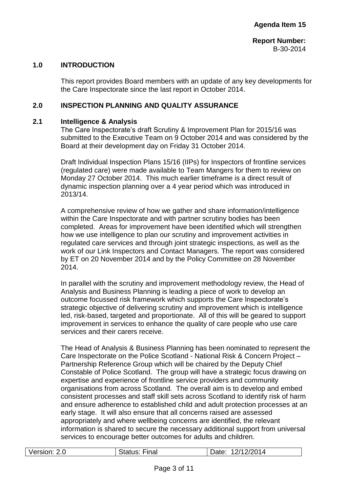#### **1.0 INTRODUCTION**

This report provides Board members with an update of any key developments for the Care Inspectorate since the last report in October 2014.

#### **2.0 INSPECTION PLANNING AND QUALITY ASSURANCE**

#### **2.1 Intelligence & Analysis**

The Care Inspectorate's draft Scrutiny & Improvement Plan for 2015/16 was submitted to the Executive Team on 9 October 2014 and was considered by the Board at their development day on Friday 31 October 2014.

Draft Individual Inspection Plans 15/16 (IIPs) for Inspectors of frontline services (regulated care) were made available to Team Mangers for them to review on Monday 27 October 2014. This much earlier timeframe is a direct result of dynamic inspection planning over a 4 year period which was introduced in 2013/14.

A comprehensive review of how we gather and share information/intelligence within the Care Inspectorate and with partner scrutiny bodies has been completed. Areas for improvement have been identified which will strengthen how we use intelligence to plan our scrutiny and improvement activities in regulated care services and through joint strategic inspections, as well as the work of our Link Inspectors and Contact Managers. The report was considered by ET on 20 November 2014 and by the Policy Committee on 28 November 2014.

In parallel with the scrutiny and improvement methodology review, the Head of Analysis and Business Planning is leading a piece of work to develop an outcome focussed risk framework which supports the Care Inspectorate's strategic objective of delivering scrutiny and improvement which is intelligence led, risk-based, targeted and proportionate. All of this will be geared to support improvement in services to enhance the quality of care people who use care services and their carers receive.

The Head of Analysis & Business Planning has been nominated to represent the Care Inspectorate on the Police Scotland - National Risk & Concern Project – Partnership Reference Group which will be chaired by the Deputy Chief Constable of Police Scotland. The group will have a strategic focus drawing on expertise and experience of frontline service providers and community organisations from across Scotland. The overall aim is to develop and embed consistent processes and staff skill sets across Scotland to identify risk of harm and ensure adherence to established child and adult protection processes at an early stage. It will also ensure that all concerns raised are assessed appropriately and where wellbeing concerns are identified, the relevant information is shared to secure the necessary additional support from universal services to encourage better outcomes for adults and children.

| Version: 2.0 | <b>Status: Final</b> | 12/12/2014<br>Date: |
|--------------|----------------------|---------------------|
|              |                      |                     |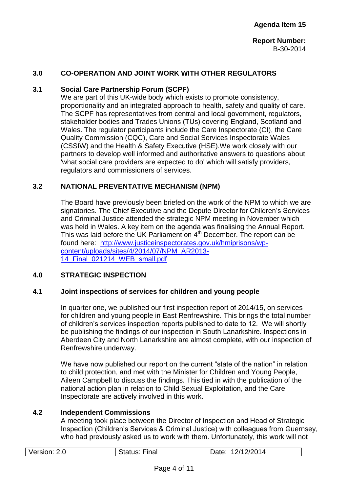#### **3.0 CO-OPERATION AND JOINT WORK WITH OTHER REGULATORS**

#### **3.1 Social Care Partnership Forum (SCPF)**

We are part of this UK-wide body which exists to promote consistency, proportionality and an integrated approach to health, safety and quality of care. The SCPF has representatives from central and local government, regulators, stakeholder bodies and Trades Unions (TUs) covering England, Scotland and Wales. The regulator participants include the Care Inspectorate (CI), the Care Quality Commission (CQC), Care and Social Services Inspectorate Wales (CSSIW) and the Health & Safety Executive (HSE).We work closely with our partners to develop well informed and authoritative answers to questions about 'what social care providers are expected to do' which will satisfy providers, regulators and commissioners of services.

#### **3.2 NATIONAL PREVENTATIVE MECHANISM (NPM)**

The Board have previously been briefed on the work of the NPM to which we are signatories. The Chief Executive and the Depute Director for Children's Services and Criminal Justice attended the strategic NPM meeting in November which was held in Wales. A key item on the agenda was finalising the Annual Report. This was laid before the UK Parliament on  $4<sup>th</sup>$  December. The report can be found here: [http://www.justiceinspectorates.gov.uk/hmiprisons/wp](http://www.justiceinspectorates.gov.uk/hmiprisons/wp-content/uploads/sites/4/2014/07/NPM_AR2013-14_Final_021214_WEB_small.pdf)[content/uploads/sites/4/2014/07/NPM\\_AR2013-](http://www.justiceinspectorates.gov.uk/hmiprisons/wp-content/uploads/sites/4/2014/07/NPM_AR2013-14_Final_021214_WEB_small.pdf) [14\\_Final\\_021214\\_WEB\\_small.pdf](http://www.justiceinspectorates.gov.uk/hmiprisons/wp-content/uploads/sites/4/2014/07/NPM_AR2013-14_Final_021214_WEB_small.pdf)

### **4.0 STRATEGIC INSPECTION**

#### **4.1 Joint inspections of services for children and young people**

In quarter one, we published our first inspection report of 2014/15, on services for children and young people in East Renfrewshire. This brings the total number of children's services inspection reports published to date to 12. We will shortly be publishing the findings of our inspection in South Lanarkshire. Inspections in Aberdeen City and North Lanarkshire are almost complete, with our inspection of Renfrewshire underway.

We have now published our report on the current "state of the nation" in relation to child protection, and met with the Minister for Children and Young People, Aileen Campbell to discuss the findings. This tied in with the publication of the national action plan in relation to Child Sexual Exploitation, and the Care Inspectorate are actively involved in this work.

#### **4.2 Independent Commissions**

A meeting took place between the Director of Inspection and Head of Strategic Inspection (Children's Services & Criminal Justice) with colleagues from Guernsey, who had previously asked us to work with them. Unfortunately, this work will not

|  | Version: 2.0 | <b>Status: Final</b> | 12/12/2014<br>Date: |
|--|--------------|----------------------|---------------------|
|--|--------------|----------------------|---------------------|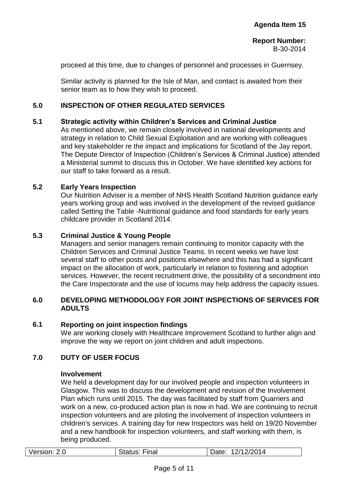proceed at this time, due to changes of personnel and processes in Guernsey.

Similar activity is planned for the Isle of Man, and contact is awaited from their senior team as to how they wish to proceed.

#### **5.0 INSPECTION OF OTHER REGULATED SERVICES**

### **5.1 Strategic activity within Children's Services and Criminal Justice**

As mentioned above, we remain closely involved in national developments and strategy in relation to Child Sexual Exploitation and are working with colleagues and key stakeholder re the impact and implications for Scotland of the Jay report. The Depute Director of Inspection (Children's Services & Criminal Justice) attended a Ministerial summit to discuss this in October. We have identified key actions for our staff to take forward as a result.

#### **5.2 Early Years Inspection**

Our Nutrition Adviser is a member of NHS Health Scotland Nutrition guidance early years working group and was involved in the development of the revised guidance called Setting the Table -Nutritional guidance and food standards for early years childcare provider in Scotland 2014.

### **5.3 Criminal Justice & Young People**

Managers and senior managers remain continuing to monitor capacity with the Children Services and Criminal Justice Teams. In recent weeks we have lost several staff to other posts and positions elsewhere and this has had a significant impact on the allocation of work, particularly in relation to fostering and adoption services. However, the recent recruitment drive, the possibility of a secondment into the Care Inspectorate and the use of locums may help address the capacity issues.

#### **6.0 DEVELOPING METHODOLOGY FOR JOINT INSPECTIONS OF SERVICES FOR ADULTS**

#### **6.1 Reporting on joint inspection findings**

We are working closely with Healthcare Improvement Scotland to further align and improve the way we report on joint children and adult inspections.

### **7.0 DUTY OF USER FOCUS**

#### **Involvement**

We held a development day for our involved people and inspection volunteers in Glasgow. This was to discuss the development and revision of the Involvement Plan which runs until 2015. The day was facilitated by staff from Quarriers and work on a new, co-produced action plan is now in had. We are continuing to recruit inspection volunteers and are piloting the involvement of inspection volunteers in children's services. A training day for new Inspectors was held on 19/20 November and a new handbook for inspection volunteers, and staff working with them, is being produced.

| Version: 2.0 | <b>Status: Final</b> | Date: 12/12/2014 |
|--------------|----------------------|------------------|
|              |                      |                  |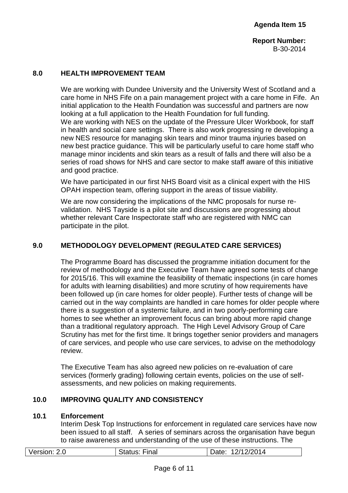**Report Number:** B-30-2014

#### **8.0 HEALTH IMPROVEMENT TEAM**

We are working with Dundee University and the University West of Scotland and a care home in NHS Fife on a pain management project with a care home in Fife. An initial application to the Health Foundation was successful and partners are now looking at a full application to the Health Foundation for full funding. We are working with NES on the update of the Pressure Ulcer Workbook, for staff in health and social care settings. There is also work progressing re developing a new NES resource for managing skin tears and minor trauma injuries based on new best practice guidance. This will be particularly useful to care home staff who manage minor incidents and skin tears as a result of falls and there will also be a series of road shows for NHS and care sector to make staff aware of this initiative and good practice.

We have participated in our first NHS Board visit as a clinical expert with the HIS OPAH inspection team, offering support in the areas of tissue viability.

We are now considering the implications of the NMC proposals for nurse revalidation. NHS Tayside is a pilot site and discussions are progressing about whether relevant Care Inspectorate staff who are registered with NMC can participate in the pilot.

### **9.0 METHODOLOGY DEVELOPMENT (REGULATED CARE SERVICES)**

The Programme Board has discussed the programme initiation document for the review of methodology and the Executive Team have agreed some tests of change for 2015/16. This will examine the feasibility of thematic inspections (in care homes for adults with learning disabilities) and more scrutiny of how requirements have been followed up (in care homes for older people). Further tests of change will be carried out in the way complaints are handled in care homes for older people where there is a suggestion of a systemic failure, and in two poorly-performing care homes to see whether an improvement focus can bring about more rapid change than a traditional regulatory approach. The High Level Advisory Group of Care Scrutiny has met for the first time. It brings together senior providers and managers of care services, and people who use care services, to advise on the methodology review.

The Executive Team has also agreed new policies on re-evaluation of care services (formerly grading) following certain events, policies on the use of selfassessments, and new policies on making requirements.

### **10.0 IMPROVING QUALITY AND CONSISTENCY**

#### **10.1 Enforcement**

Interim Desk Top Instructions for enforcement in regulated care services have now been issued to all staff. A series of seminars across the organisation have begun to raise awareness and understanding of the use of these instructions. The

| Version: 2.0 | <b>Status: Final</b> | Date: 12/12/2014 |
|--------------|----------------------|------------------|
|              |                      |                  |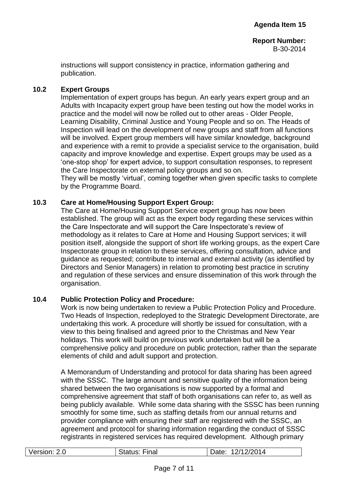instructions will support consistency in practice, information gathering and publication.

#### **10.2 Expert Groups**

Implementation of expert groups has begun. An early years expert group and an Adults with Incapacity expert group have been testing out how the model works in practice and the model will now be rolled out to other areas - Older People, Learning Disability, Criminal Justice and Young People and so on. The Heads of Inspection will lead on the development of new groups and staff from all functions will be involved. Expert group members will have similar knowledge, background and experience with a remit to provide a specialist service to the organisation, build capacity and improve knowledge and expertise. Expert groups may be used as a 'one-stop shop' for expert advice, to support consultation responses, to represent the Care Inspectorate on external policy groups and so on.

They will be mostly 'virtual', coming together when given specific tasks to complete by the Programme Board.

#### **10.3 Care at Home/Housing Support Expert Group:**

The Care at Home/Housing Support Service expert group has now been established. The group will act as the expert body regarding these services within the Care Inspectorate and will support the Care Inspectorate's review of methodology as it relates to Care at Home and Housing Support services; it will position itself, alongside the support of short life working groups, as the expert Care Inspectorate group in relation to these services, offering consultation, advice and guidance as requested; contribute to internal and external activity (as identified by Directors and Senior Managers) in relation to promoting best practice in scrutiny and regulation of these services and ensure dissemination of this work through the organisation.

#### **10.4 Public Protection Policy and Procedure:**

Work is now being undertaken to review a Public Protection Policy and Procedure. Two Heads of Inspection, redeployed to the Strategic Development Directorate, are undertaking this work. A procedure will shortly be issued for consultation, with a view to this being finalised and agreed prior to the Christmas and New Year holidays. This work will build on previous work undertaken but will be a comprehensive policy and procedure on public protection, rather than the separate elements of child and adult support and protection.

A Memorandum of Understanding and protocol for data sharing has been agreed with the SSSC. The large amount and sensitive quality of the information being shared between the two organisations is now supported by a formal and comprehensive agreement that staff of both organisations can refer to, as well as being publicly available. While some data sharing with the SSSC has been running smoothly for some time, such as staffing details from our annual returns and provider compliance with ensuring their staff are registered with the SSSC, an agreement and protocol for sharing information regarding the conduct of SSSC registrants in registered services has required development. Although primary

| Version: 2.0 | Status: F<br>Final | 12/12/2014<br>Date: |
|--------------|--------------------|---------------------|
|              |                    |                     |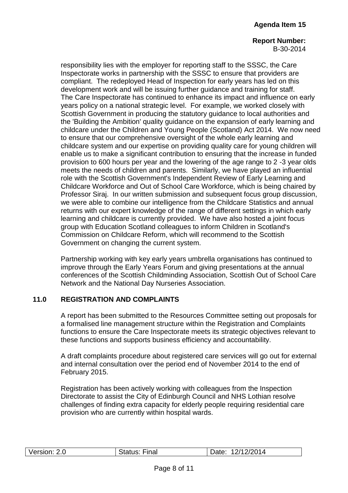**Report Number:** B-30-2014

responsibility lies with the employer for reporting staff to the SSSC, the Care Inspectorate works in partnership with the SSSC to ensure that providers are compliant. The redeployed Head of Inspection for early years has led on this development work and will be issuing further guidance and training for staff. The Care Inspectorate has continued to enhance its impact and influence on early years policy on a national strategic level. For example, we worked closely with Scottish Government in producing the statutory guidance to local authorities and the 'Building the Ambition' quality guidance on the expansion of early learning and childcare under the Children and Young People (Scotland) Act 2014. We now need to ensure that our comprehensive oversight of the whole early learning and childcare system and our expertise on providing quality care for young children will enable us to make a significant contribution to ensuring that the increase in funded provision to 600 hours per year and the lowering of the age range to 2 -3 year olds meets the needs of children and parents. Similarly, we have played an influential role with the Scottish Government's Independent Review of Early Learning and Childcare Workforce and Out of School Care Workforce, which is being chaired by Professor Siraj. In our written submission and subsequent focus group discussion, we were able to combine our intelligence from the Childcare Statistics and annual returns with our expert knowledge of the range of different settings in which early learning and childcare is currently provided. We have also hosted a joint focus group with Education Scotland colleagues to inform Children in Scotland's Commission on Childcare Reform, which will recommend to the Scottish Government on changing the current system.

Partnership working with key early years umbrella organisations has continued to improve through the Early Years Forum and giving presentations at the annual conferences of the Scottish Childminding Association, Scottish Out of School Care Network and the National Day Nurseries Association.

### **11.0 REGISTRATION AND COMPLAINTS**

A report has been submitted to the Resources Committee setting out proposals for a formalised line management structure within the Registration and Complaints functions to ensure the Care Inspectorate meets its strategic objectives relevant to these functions and supports business efficiency and accountability.

A draft complaints procedure about registered care services will go out for external and internal consultation over the period end of November 2014 to the end of February 2015.

Registration has been actively working with colleagues from the Inspection Directorate to assist the City of Edinburgh Council and NHS Lothian resolve challenges of finding extra capacity for elderly people requiring residential care provision who are currently within hospital wards.

| Version: 2.0 | <b>Status: Final</b> | 12/12/2014<br>Date: |
|--------------|----------------------|---------------------|
|              |                      |                     |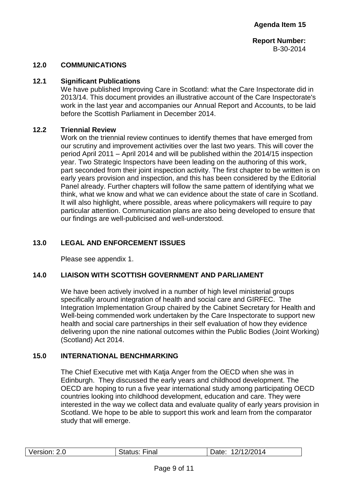**Report Number:** B-30-2014

#### **12.0 COMMUNICATIONS**

#### **12.1 Significant Publications**

We have published Improving Care in Scotland: what the Care Inspectorate did in 2013/14. This document provides an illustrative account of the Care Inspectorate's work in the last year and accompanies our Annual Report and Accounts, to be laid before the Scottish Parliament in December 2014.

#### **12.2 Triennial Review**

Work on the triennial review continues to identify themes that have emerged from our scrutiny and improvement activities over the last two years. This will cover the period April 2011 – April 2014 and will be published within the 2014/15 inspection year. Two Strategic Inspectors have been leading on the authoring of this work, part seconded from their joint inspection activity. The first chapter to be written is on early years provision and inspection, and this has been considered by the Editorial Panel already. Further chapters will follow the same pattern of identifying what we think, what we know and what we can evidence about the state of care in Scotland. It will also highlight, where possible, areas where policymakers will require to pay particular attention. Communication plans are also being developed to ensure that our findings are well-publicised and well-understood.

### **13.0 LEGAL AND ENFORCEMENT ISSUES**

Please see appendix 1.

#### **14.0 LIAISON WITH SCOTTISH GOVERNMENT AND PARLIAMENT**

We have been actively involved in a number of high level ministerial groups specifically around integration of health and social care and GIRFEC. The Integration Implementation Group chaired by the Cabinet Secretary for Health and Well-being commended work undertaken by the Care Inspectorate to support new health and social care partnerships in their self evaluation of how they evidence delivering upon the nine national outcomes within the Public Bodies (Joint Working) (Scotland) Act 2014.

#### **15.0 INTERNATIONAL BENCHMARKING**

The Chief Executive met with Katja Anger from the OECD when she was in Edinburgh. They discussed the early years and childhood development. The OECD are hoping to run a five year international study among participating OECD countries looking into childhood development, education and care. They were interested in the way we collect data and evaluate quality of early years provision in Scotland. We hope to be able to support this work and learn from the comparator study that will emerge.

| Version: 2.0 | <b>Status: Final</b> | 12/12/2014<br>Date: |
|--------------|----------------------|---------------------|
|              |                      |                     |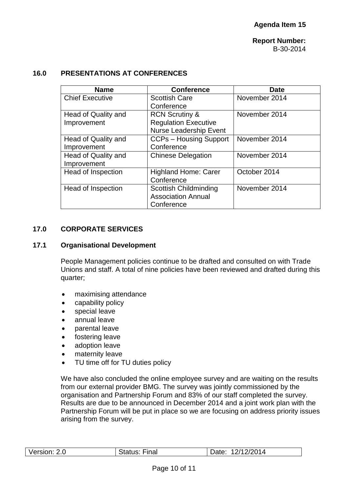### **16.0 PRESENTATIONS AT CONFERENCES**

| <b>Name</b>               | <b>Conference</b>             | <b>Date</b>   |
|---------------------------|-------------------------------|---------------|
| <b>Chief Executive</b>    | <b>Scottish Care</b>          | November 2014 |
|                           | Conference                    |               |
| Head of Quality and       | <b>RCN Scrutiny &amp;</b>     | November 2014 |
| Improvement               | <b>Regulation Executive</b>   |               |
|                           | <b>Nurse Leadership Event</b> |               |
| Head of Quality and       | <b>CCPs - Housing Support</b> | November 2014 |
| Improvement               | Conference                    |               |
| Head of Quality and       | <b>Chinese Delegation</b>     | November 2014 |
| Improvement               |                               |               |
| <b>Head of Inspection</b> | <b>Highland Home: Carer</b>   | October 2014  |
|                           | Conference                    |               |
| Head of Inspection        | <b>Scottish Childminding</b>  | November 2014 |
|                           | <b>Association Annual</b>     |               |
|                           | Conference                    |               |

### **17.0 CORPORATE SERVICES**

### **17.1 Organisational Development**

People Management policies continue to be drafted and consulted on with Trade Unions and staff. A total of nine policies have been reviewed and drafted during this quarter;

- maximising attendance
- capability policy
- special leave
- annual leave
- parental leave
- fostering leave
- adoption leave
- maternity leave
- TU time off for TU duties policy

We have also concluded the online employee survey and are waiting on the results from our external provider BMG. The survey was jointly commissioned by the organisation and Partnership Forum and 83% of our staff completed the survey. Results are due to be announced in December 2014 and a joint work plan with the Partnership Forum will be put in place so we are focusing on address priority issues arising from the survey.

|  | Version: 2.0 | <b>Status: Final</b> | 12/12/2014<br>Date: |
|--|--------------|----------------------|---------------------|
|--|--------------|----------------------|---------------------|